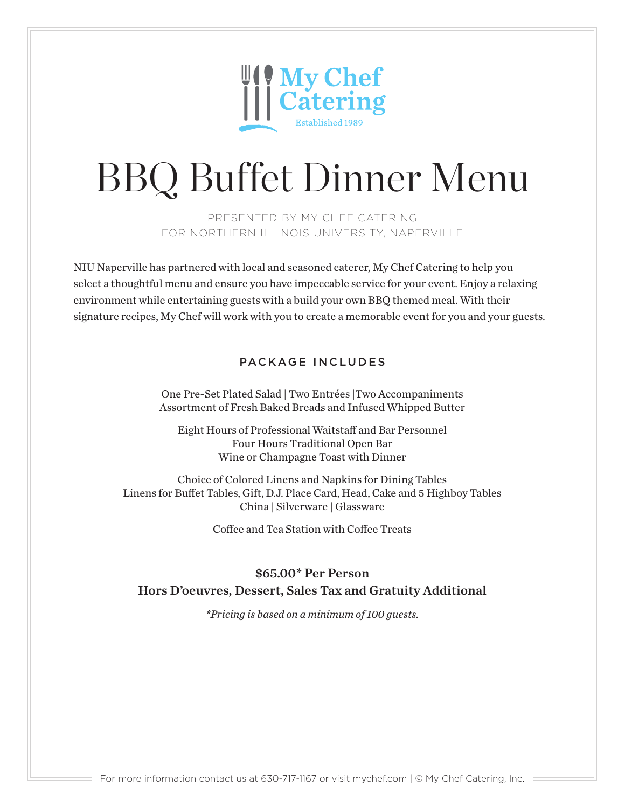

# BBQ Buffet Dinner Menu

PRESENTED BY MY CHEF CATERING FOR NORTHERN ILLINOIS UNIVERSITY, NAPERVILLE

NIU Naperville has partnered with local and seasoned caterer, My Chef Catering to help you select a thoughtful menu and ensure you have impeccable service for your event. Enjoy a relaxing environment while entertaining guests with a build your own BBQ themed meal. With their signature recipes, My Chef will work with you to create a memorable event for you and your guests.

### PACKAGE INCLUDES

One Pre-Set Plated Salad | Two Entrées |Two Accompaniments Assortment of Fresh Baked Breads and Infused Whipped Butter

Eight Hours of Professional Waitstaff and Bar Personnel Four Hours Traditional Open Bar Wine or Champagne Toast with Dinner

Choice of Colored Linens and Napkins for Dining Tables Linens for Buffet Tables, Gift, D.J. Place Card, Head, Cake and 5 Highboy Tables China | Silverware | Glassware

Coffee and Tea Station with Coffee Treats

### \$65.00\* Per Person Hors D'oeuvres, Dessert, Sales Tax and Gratuity Additional

*\*Pricing is based on a minimum of 100 guests.*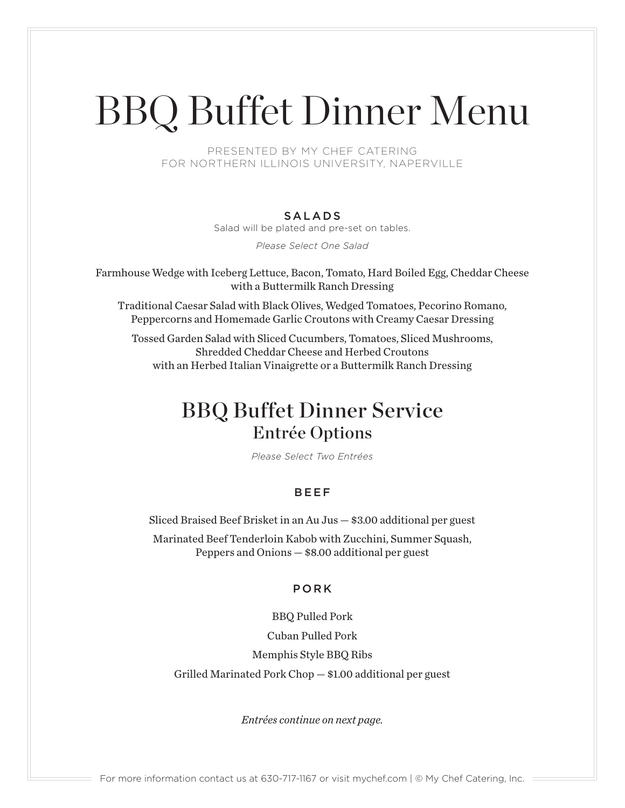# BBQ Buffet Dinner Menu

PRESENTED BY MY CHEF CATERING FOR NORTHERN ILLINOIS UNIVERSITY, NAPERVILLE

### SALADS

Salad will be plated and pre-set on tables.

*Please Select One Salad*

Farmhouse Wedge with Iceberg Lettuce, Bacon, Tomato, Hard Boiled Egg, Cheddar Cheese with a Buttermilk Ranch Dressing

Traditional Caesar Salad with Black Olives, Wedged Tomatoes, Pecorino Romano, Peppercorns and Homemade Garlic Croutons with Creamy Caesar Dressing

Tossed Garden Salad with Sliced Cucumbers, Tomatoes, Sliced Mushrooms, Shredded Cheddar Cheese and Herbed Croutons with an Herbed Italian Vinaigrette or a Buttermilk Ranch Dressing

## BBQ Buffet Dinner Service Entrée Options

*Please Select Two Entrées*

### BEEF

Sliced Braised Beef Brisket in an Au Jus — \$3.00 additional per guest

Marinated Beef Tenderloin Kabob with Zucchini, Summer Squash, Peppers and Onions — \$8.00 additional per guest

### PORK

BBQ Pulled Pork

Cuban Pulled Pork

Memphis Style BBQ Ribs

Grilled Marinated Pork Chop — \$1.00 additional per guest

*Entrées continue on next page.*